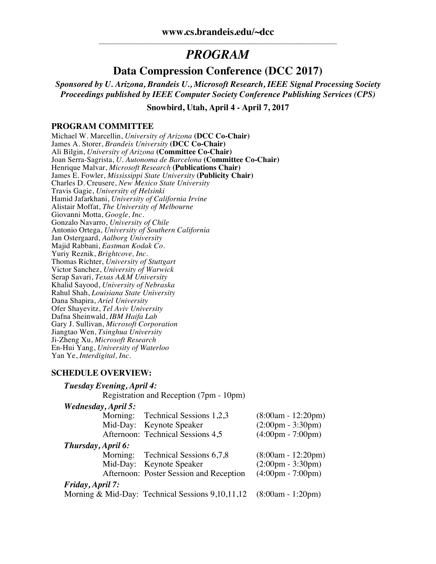# *PROGRAM*

# **Data Compression Conference (DCC 2017)**

*Sponsored by U. Arizona, Brandeis U., Microsoft Research, IEEE Signal Processing Society Proceedings published by IEEE Computer Society Conference Publishing Services (CPS)*

**Snowbird, Utah, April 4 - April 7, 2017**

#### **PROGRAM COMMITTEE**

Michael W. Marcellin, *University of Arizona* **(DCC Co-Chair)** James A. Storer, *Brandeis University* **(DCC Co-Chair)** Ali Bilgin, *University of Arizona* **(Committee Co-Chair)** Joan Serra-Sagrista, *U. Autonoma de Barcelona* **(Committee Co-Chair)** Henrique Malvar, *Microsoft Research* **(Publications Chair)** James E. Fowler, *Mississippi State University* **(Publicity Chair)** Charles D. Creusere, *New Mexico State University* Travis Gagie, *University of Helsinki* Hamid Jafarkhani, *University of California Irvine* Alistair Moffat, *The University of Melbourne* Giovanni Motta, *Google, Inc.* Gonzalo Navarro, *University of Chile* Antonio Ortega, *University of Southern California* Jan Ostergaard, *Aalborg University* Majid Rabbani, *Eastman Kodak Co.* Yuriy Reznik, *Brightcove, Inc.* Thomas Richter, *University of Stuttgart* Victor Sanchez, *University of Warwick* Serap Savari, *Texas A&M University* Khalid Sayood, *University of Nebraska* Rahul Shah, *Louisiana State University* Dana Shapira, *Ariel University* Ofer Shayevitz, *Tel Aviv University* Dafna Sheinwald, *IBM Haifa Lab* Gary J. Sullivan, *Microsoft Corporation* Jiangtao Wen, *Tsinghua University* Ji-Zheng Xu, *Microsoft Research* En-Hui Yang, *University of Waterloo* Yan Ye, *Interdigital, Inc.*

#### **SCHEDULE OVERVIEW:**

| Tuesday Evening, April 4:  |                                         |                                     |
|----------------------------|-----------------------------------------|-------------------------------------|
|                            | Registration and Reception (7pm - 10pm) |                                     |
| <b>Wednesday, April 5:</b> |                                         |                                     |
|                            | Morning: Technical Sessions 1,2,3       | $(8:00am - 12:20pm)$                |
|                            | Mid-Day: Keynote Speaker                | $(2:00 \text{pm} - 3:30 \text{pm})$ |
|                            | Afternoon: Technical Sessions 4,5       | $(4:00 \text{pm} - 7:00 \text{pm})$ |
| Thursday, April 6:         |                                         |                                     |
|                            | Morning: Technical Sessions 6,7,8       | $(8:00am - 12:20pm)$                |
|                            | Mid-Day: Keynote Speaker                | $(2:00 \text{pm} - 3:30 \text{pm})$ |
|                            | Afternoon: Poster Session and Reception | $(4:00 \text{pm} - 7:00 \text{pm})$ |
| <i>Friday, April 7:</i>    |                                         |                                     |

Morning & Mid-Day: Technical Sessions 9,10,11,12 (8:00am - 1:20pm)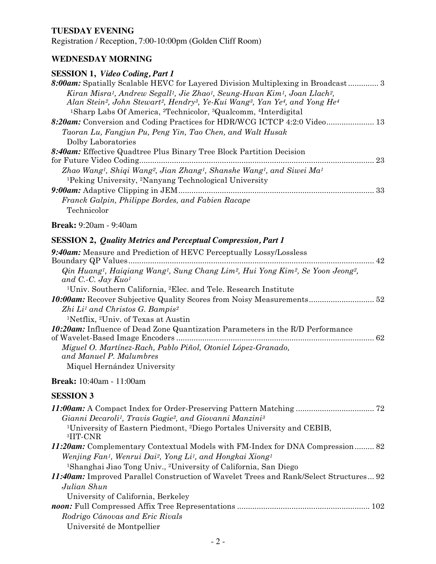### **TUESDAY EVENING**

Registration / Reception, 7:00-10:00pm (Golden Cliff Room)

## **WEDNESDAY MORNING**

# **SESSION 1,** *Video Coding, Part 1*

| 8:00am: Spatially Scalable HEVC for Layered Division Multiplexing in Broadcast 3                                                                      |  |
|-------------------------------------------------------------------------------------------------------------------------------------------------------|--|
| Kiran Misra <sup>1</sup> , Andrew Segall <sup>1</sup> , Jie Zhao <sup>1</sup> , Seung-Hwan Kim <sup>1</sup> , Joan Llach <sup>2</sup> ,               |  |
| Alan Stein <sup>2</sup> , John Stewart <sup>2</sup> , Hendry <sup>3</sup> , Ye-Kui Wang <sup>3</sup> , Yan Ye <sup>4</sup> , and Yong He <sup>4</sup> |  |
| <sup>1</sup> Sharp Labs Of America, <sup>2</sup> Technicolor, <sup>3</sup> Qualcomm, <sup>4</sup> Interdigital                                        |  |
| 8:20am: Conversion and Coding Practices for HDR/WCG ICTCP 4:2:0 Video 13                                                                              |  |
| Taoran Lu, Fangjun Pu, Peng Yin, Tao Chen, and Walt Husak                                                                                             |  |
| Dolby Laboratories                                                                                                                                    |  |
| 8:40am: Effective Quadtree Plus Binary Tree Block Partition Decision                                                                                  |  |
| 23<br>for Future Video Coding.                                                                                                                        |  |
| Zhao Wang <sup>1</sup> , Shiqi Wang <sup>2</sup> , Jian Zhang <sup>1</sup> , Shanshe Wang <sup>1</sup> , and Siwei Ma <sup>1</sup>                    |  |
| <sup>1</sup> Peking University, <sup>2</sup> Nanyang Technological University                                                                         |  |
|                                                                                                                                                       |  |
| Franck Galpin, Philippe Bordes, and Fabien Racape                                                                                                     |  |
| Technicolor                                                                                                                                           |  |
| <b>Break:</b> 9:20am - 9:40am                                                                                                                         |  |

# **SESSION 2,** *Quality Metrics and Perceptual Compression, Part 1*

| 9:40am: Measure and Prediction of HEVC Perceptually Lossy/Lossless                                                                                                    |  |
|-----------------------------------------------------------------------------------------------------------------------------------------------------------------------|--|
|                                                                                                                                                                       |  |
| Qin Huang <sup>1</sup> , Haiqiang Wang <sup>1</sup> , Sung Chang Lim <sup>2</sup> , Hui Yong Kim <sup>2</sup> , Se Yoon Jeong <sup>2</sup> ,<br>and C.-C. Jay $Ku0^1$ |  |
| <sup>1</sup> Univ. Southern California, <sup>2</sup> Elec. and Tele. Research Institute                                                                               |  |
|                                                                                                                                                                       |  |
| $Zhi Li1$ and Christos G. Bampis <sup>2</sup>                                                                                                                         |  |
| <sup>1</sup> Netflix, <sup>2</sup> Univ. of Texas at Austin                                                                                                           |  |
| <b>10:20am:</b> Influence of Dead Zone Quantization Parameters in the R/D Performance                                                                                 |  |
|                                                                                                                                                                       |  |
| Miguel O. Martínez-Rach, Pablo Piñol, Otoniel López-Granado,<br>and Manuel P. Malumbres                                                                               |  |
| Miquel Hernández University                                                                                                                                           |  |

### **Break:** 10:40am - 11:00am

| Gianni Decaroli <sup>1</sup> , Travis Gagie <sup>2</sup> , and Giovanni Manzini <sup>3</sup>               |
|------------------------------------------------------------------------------------------------------------|
| <sup>1</sup> University of Eastern Piedmont, <sup>2</sup> Diego Portales University and CEBIB,<br>3HT-CNR  |
| 11:20am: Complementary Contextual Models with FM-Index for DNA Compression 82                              |
| Wenjing Fan <sup>1</sup> , Wenrui Dai <sup>2</sup> , Yong Li <sup>1</sup> , and Hongkai Xiong <sup>1</sup> |
| <sup>1</sup> Shanghai Jiao Tong Univ., <sup>2</sup> University of California, San Diego                    |
| 11:40am: Improved Parallel Construction of Wavelet Trees and Rank/Select Structures 92                     |
| Julian Shun                                                                                                |
| University of California, Berkeley                                                                         |
|                                                                                                            |
| Rodrigo Cánovas and Eric Rivals                                                                            |
| Université de Montpellier                                                                                  |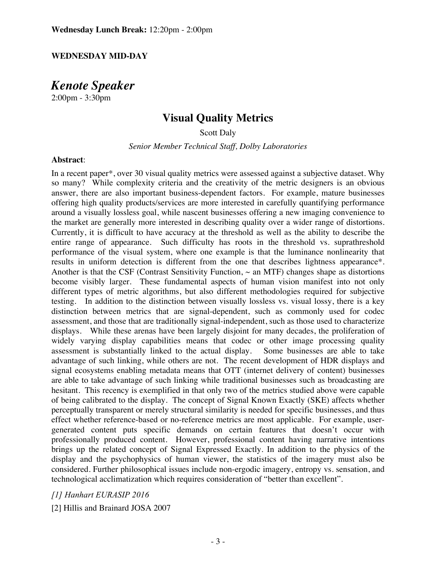#### **WEDNESDAY MID-DAY**

*Kenote Speaker*

2:00pm - 3:30pm

# **Visual Quality Metrics**

Scott Daly

*Senior Member Technical Staff, Dolby Laboratories*

#### **Abstract**:

In a recent paper\*, over 30 visual quality metrics were assessed against a subjective dataset. Why so many? While complexity criteria and the creativity of the metric designers is an obvious answer, there are also important business-dependent factors. For example, mature businesses offering high quality products/services are more interested in carefully quantifying performance around a visually lossless goal, while nascent businesses offering a new imaging convenience to the market are generally more interested in describing quality over a wider range of distortions. Currently, it is difficult to have accuracy at the threshold as well as the ability to describe the entire range of appearance. Such difficulty has roots in the threshold vs. suprathreshold performance of the visual system, where one example is that the luminance nonlinearity that results in uniform detection is different from the one that describes lightness appearance\*. Another is that the CSF (Contrast Sensitivity Function,  $\sim$  an MTF) changes shape as distortions become visibly larger. These fundamental aspects of human vision manifest into not only different types of metric algorithms, but also different methodologies required for subjective testing. In addition to the distinction between visually lossless vs. visual lossy, there is a key distinction between metrics that are signal-dependent, such as commonly used for codec assessment, and those that are traditionally signal-independent, such as those used to characterize displays. While these arenas have been largely disjoint for many decades, the proliferation of widely varying display capabilities means that codec or other image processing quality assessment is substantially linked to the actual display. Some businesses are able to take advantage of such linking, while others are not. The recent development of HDR displays and signal ecosystems enabling metadata means that OTT (internet delivery of content) businesses are able to take advantage of such linking while traditional businesses such as broadcasting are hesitant. This recency is exemplified in that only two of the metrics studied above were capable of being calibrated to the display. The concept of Signal Known Exactly (SKE) affects whether perceptually transparent or merely structural similarity is needed for specific businesses, and thus effect whether reference-based or no-reference metrics are most applicable. For example, usergenerated content puts specific demands on certain features that doesn't occur with professionally produced content. However, professional content having narrative intentions brings up the related concept of Signal Expressed Exactly. In addition to the physics of the display and the psychophysics of human viewer, the statistics of the imagery must also be considered. Further philosophical issues include non-ergodic imagery, entropy vs. sensation, and technological acclimatization which requires consideration of "better than excellent".

*[1] Hanhart EURASIP 2016*

[2] Hillis and Brainard JOSA 2007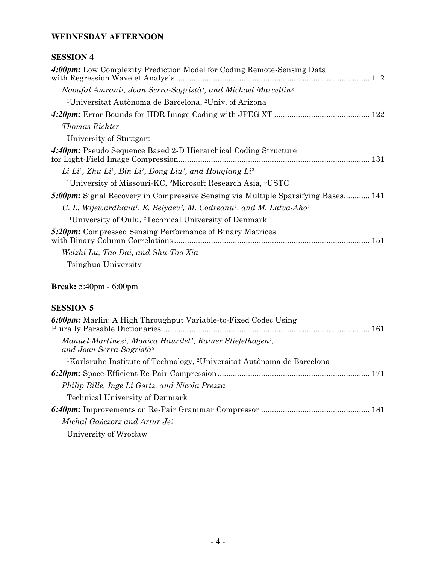# **WEDNESDAY AFTERNOON**

# **SESSION 4**

| 4:00pm: Low Complexity Prediction Model for Coding Remote-Sensing Data                                                |
|-----------------------------------------------------------------------------------------------------------------------|
| Naoufal Amrani <sup>1</sup> , Joan Serra-Sagristà <sup>1</sup> , and Michael Marcellin <sup>2</sup>                   |
| <sup>1</sup> Universitat Autònoma de Barcelona, <sup>2</sup> Univ. of Arizona                                         |
|                                                                                                                       |
| <b>Thomas Richter</b>                                                                                                 |
| University of Stuttgart                                                                                               |
| 4:40pm: Pseudo Sequence Based 2-D Hierarchical Coding Structure                                                       |
| Li Li <sup>1</sup> , Zhu Li <sup>1</sup> , Bin Li <sup>2</sup> , Dong Liu <sup>3</sup> , and Hougiang Li <sup>3</sup> |
| <sup>1</sup> University of Missouri-KC, <sup>2</sup> Microsoft Research Asia, <sup>3</sup> USTC                       |
| <b>5:00pm:</b> Signal Recovery in Compressive Sensing via Multiple Sparsifying Bases 141                              |
| U. L. Wijewardhana <sup>1</sup> , E. Belyaev <sup>2</sup> , M. Codreanu <sup>1</sup> , and M. Latva-Aho <sup>1</sup>  |
| <sup>1</sup> University of Oulu, <sup>2</sup> Technical University of Denmark                                         |
| 5:20pm: Compressed Sensing Performance of Binary Matrices                                                             |
| Weizhi Lu, Tao Dai, and Shu-Tao Xia                                                                                   |
| Tsinghua University                                                                                                   |

**Break:** 5:40pm - 6:00pm

| 6:00pm: Marlin: A High Throughput Variable-to-Fixed Codec Using                                                                          |  |
|------------------------------------------------------------------------------------------------------------------------------------------|--|
| Manuel Martinez <sup>1</sup> , Monica Haurilet <sup>1</sup> , Rainer Stiefelhagen <sup>1</sup> ,<br>and Joan Serra-Sagristà <sup>2</sup> |  |
| <sup>1</sup> Karlsruhe Institute of Technology, <sup>2</sup> Universitat Autonoma de Barcelona                                           |  |
|                                                                                                                                          |  |
| Philip Bille, Inge Li Gørtz, and Nicola Prezza                                                                                           |  |
| <b>Technical University of Denmark</b>                                                                                                   |  |
|                                                                                                                                          |  |
| Michal Ganczorz and Artur Jeż                                                                                                            |  |
| University of Wrocław                                                                                                                    |  |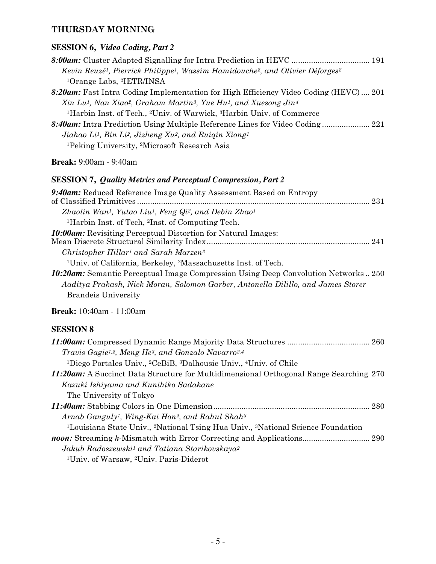# **THURSDAY MORNING**

# **SESSION 6,** *Video Coding, Part 2*

| Kevin Reuzé <sup>1</sup> , Pierrick Philippe <sup>1</sup> , Wassim Hamidouche <sup>2</sup> , and Olivier Déforges <sup>2</sup> |
|--------------------------------------------------------------------------------------------------------------------------------|
| <sup>1</sup> Orange Labs, <sup>2</sup> IETR/INSA                                                                               |
| 8:20am: Fast Intra Coding Implementation for High Efficiency Video Coding (HEVC) 201                                           |
| Xin Lu <sup>1</sup> , Nan Xiao <sup>2</sup> , Graham Martin <sup>3</sup> , Yue Hu <sup>1</sup> , and Xuesong Jin <sup>4</sup>  |
| <sup>1</sup> Harbin Inst. of Tech., <sup>2</sup> Univ. of Warwick, <sup>3</sup> Harbin Univ. of Commerce                       |
| 8:40am: Intra Prediction Using Multiple Reference Lines for Video Coding 221                                                   |
| Jiahao Li <sup>1</sup> , Bin Li <sup>2</sup> , Jizheng Xu <sup>2</sup> , and Ruigin Xiong <sup>1</sup>                         |
| <sup>1</sup> Peking University, <sup>2</sup> Microsoft Research Asia                                                           |

**Break:** 9:00am - 9:40am

### **SESSION 7,** *Quality Metrics and Perceptual Compression, Part 2*

| 9:40am: Reduced Reference Image Quality Assessment Based on Entropy                                    |
|--------------------------------------------------------------------------------------------------------|
| Zhaolin Wan <sup>1</sup> , Yutao Liu <sup>1</sup> , Feng Qi <sup>2</sup> , and Debin Zhao <sup>1</sup> |
| <sup>1</sup> Harbin Inst. of Tech, <sup>2</sup> Inst. of Computing Tech.                               |
| <b>10:00am:</b> Revisiting Perceptual Distortion for Natural Images:                                   |
| Christopher Hillar <sup>1</sup> and Sarah Marzen <sup>2</sup>                                          |
| <sup>1</sup> Univ. of California, Berkeley, <sup>2</sup> Massachusetts Inst. of Tech.                  |
| <b>10:20am:</b> Semantic Perceptual Image Compression Using Deep Convolution Networks250               |
| Aaditya Prakash, Nick Moran, Solomon Garber, Antonella Dilillo, and James Storer                       |
| <b>Brandels</b> University                                                                             |
|                                                                                                        |

**Break:** 10:40am - 11:00am

| Travis Gagie <sup>1,2</sup> , Meng He <sup>3</sup> , and Gonzalo Navarro <sup>2,4</sup>                             |  |
|---------------------------------------------------------------------------------------------------------------------|--|
| <sup>1</sup> Diego Portales Univ., <sup>2</sup> CeBiB, <sup>3</sup> Dalhousie Univ., <sup>4</sup> Univ. of Chile    |  |
| 11:20am: A Succinct Data Structure for Multidimensional Orthogonal Range Searching 270                              |  |
| Kazuki Ishiyama and Kunihiko Sadakane                                                                               |  |
| The University of Tokyo                                                                                             |  |
|                                                                                                                     |  |
| Arnab Ganguly <sup>1</sup> , Wing-Kai Hon <sup>2</sup> , and Rahul Shah <sup>3</sup>                                |  |
| <sup>1</sup> Louisiana State Univ., <sup>2</sup> National Tsing Hua Univ., <sup>3</sup> National Science Foundation |  |
|                                                                                                                     |  |
| Jakub Radoszewski <sup>1</sup> and Tatiana Starikovskaya <sup>2</sup>                                               |  |
| <sup>1</sup> Univ. of Warsaw, <sup>2</sup> Univ. Paris-Diderot                                                      |  |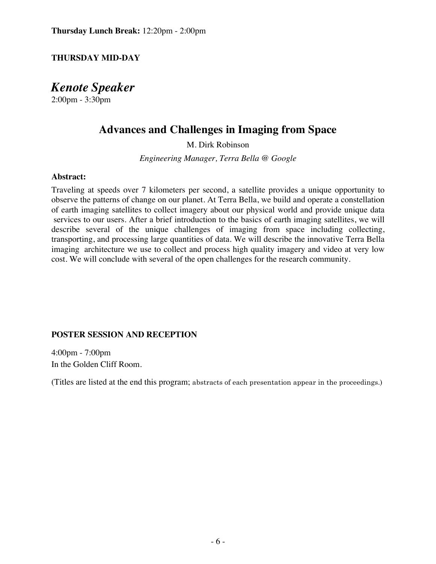## **THURSDAY MID-DAY**

*Kenote Speaker*

2:00pm - 3:30pm

# **Advances and Challenges in Imaging from Space**

M. Dirk Robinson

*Engineering Manager, Terra Bella @ Google*

### **Abstract:**

Traveling at speeds over 7 kilometers per second, a satellite provides a unique opportunity to observe the patterns of change on our planet. At Terra Bella, we build and operate a constellation of earth imaging satellites to collect imagery about our physical world and provide unique data services to our users. After a brief introduction to the basics of earth imaging satellites, we will describe several of the unique challenges of imaging from space including collecting, transporting, and processing large quantities of data. We will describe the innovative Terra Bella imaging architecture we use to collect and process high quality imagery and video at very low cost. We will conclude with several of the open challenges for the research community.

### **POSTER SESSION AND RECEPTION**

4:00pm - 7:00pm In the Golden Cliff Room.

(Titles are listed at the end this program; abstracts of each presentation appear in the proceedings.)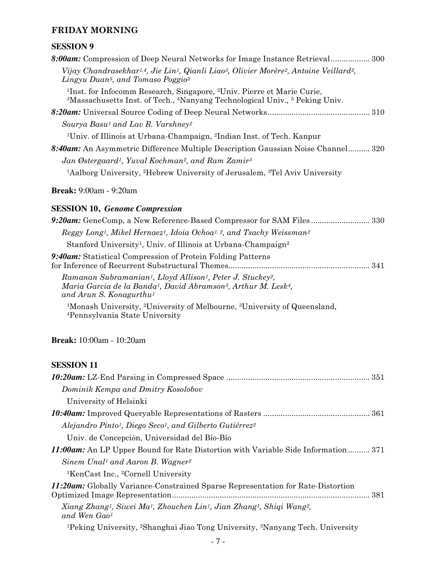# **FRIDAY MORNING**

# **SESSION 9**

| 8:00am: Compression of Deep Neural Networks for Image Instance Retrieval 300                                                                                                                                                                  |
|-----------------------------------------------------------------------------------------------------------------------------------------------------------------------------------------------------------------------------------------------|
| Vijay Chandrasekhar <sup>1,4</sup> , Jie Lin <sup>1</sup> , Qianli Liao <sup>3</sup> , Olivier Morère <sup>2</sup> , Antoine Veillard <sup>2</sup> ,<br>Lingyu Duan <sup>5</sup> , and Tomaso Poggio <sup>3</sup>                             |
| <sup>1</sup> Inst. for Infocomm Research, Singapore, <sup>2</sup> Univ. Pierre et Marie Curie,<br><sup>3</sup> Massachusetts Inst. of Tech., <sup>4</sup> Nanyang Technological Univ., <sup>5</sup> Peking Univ.                              |
|                                                                                                                                                                                                                                               |
| Sourya Basu <sup>1</sup> and Lav R. Varshney <sup>2</sup>                                                                                                                                                                                     |
| <sup>1</sup> Univ. of Illinois at Urbana-Champaign, <sup>2</sup> Indian Inst. of Tech. Kanpur                                                                                                                                                 |
| 8:40am: An Asymmetric Difference Multiple Description Gaussian Noise Channel 320                                                                                                                                                              |
| Jan Østergaard <sup>1</sup> , Yuval Kochman <sup>2</sup> , and Ram Zamir <sup>3</sup>                                                                                                                                                         |
| <sup>1</sup> Aalborg University, <sup>2</sup> Hebrew University of Jerusalem, <sup>3</sup> Tel Aviv University                                                                                                                                |
| <b>Break:</b> 9:00am - 9:20am                                                                                                                                                                                                                 |
| <b>SESSION 10, Genome Compression</b>                                                                                                                                                                                                         |
| 9:20am: GeneComp, a New Reference-Based Compressor for SAM Files330                                                                                                                                                                           |
| Reggy Long <sup>1</sup> , Mikel Hernaez <sup>1</sup> , Idoia Ochoa <sup>1, 2</sup> , and Tsachy Weissman <sup>2</sup>                                                                                                                         |
| Stanford University <sup>1</sup> , Univ. of Illinois at Urbana-Champaign <sup>2</sup>                                                                                                                                                         |
| 9:40am: Statistical Compression of Protein Folding Patterns                                                                                                                                                                                   |
| Ramanan Subramanian <sup>1</sup> , Lloyd Allison <sup>1</sup> , Peter J. Stuckey <sup>2</sup> ,<br>Maria Garcia de la Banda <sup>1</sup> , David Abramson <sup>3</sup> , Arthur M. Lesk <sup>4</sup> ,<br>and Arun S. Konagurthu <sup>1</sup> |

1Monash University, 2University of Melbourne, 3University of Queensland, 4Pennsylvania State University

**Break:** 10:00am - 10:20am

| Dominik Kempa and Dmitry Kosolobov                                                                                                                 |
|----------------------------------------------------------------------------------------------------------------------------------------------------|
| University of Helsinki                                                                                                                             |
|                                                                                                                                                    |
| Alejandro Pinto <sup>1</sup> , Diego Seco <sup>1</sup> , and Gilberto Gutiérrez <sup>2</sup>                                                       |
| Univ. de Concepción, Universidad del Bío-Bío                                                                                                       |
| 11:00am: An LP Upper Bound for Rate Distortion with Variable Side Information 371                                                                  |
| Sinem Unal <sup>1</sup> and Aaron B. Wagner <sup>2</sup>                                                                                           |
| <sup>1</sup> KenCast Inc., <sup>2</sup> Cornell University                                                                                         |
| <b>11:20am:</b> Globally Variance-Constrained Sparse Representation for Rate-Distortion                                                            |
| Xiang Zhang <sup>1</sup> , Siwei Ma <sup>1</sup> , Zhouchen Lin <sup>1</sup> , Jian Zhang <sup>1</sup> , Shiqi Wang <sup>2</sup> ,<br>and Wen Gao1 |
| <sup>1</sup> Peking University, <sup>2</sup> Shanghai Jiao Tong University, <sup>3</sup> Nanyang Tech. University                                  |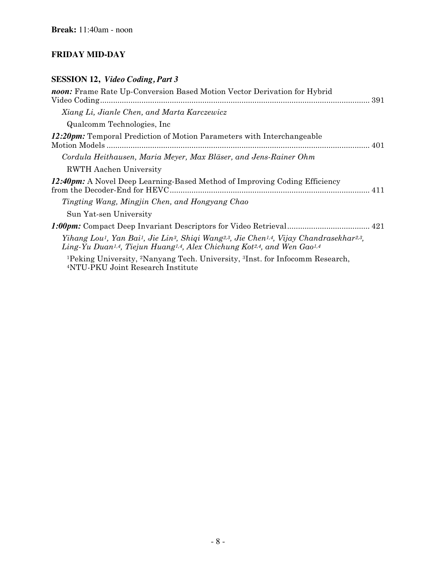# **FRIDAY MID-DAY**

# **SESSION 12,** *Video Coding, Part 3*

| noon: Frame Rate Up-Conversion Based Motion Vector Derivation for Hybrid                                                                                                                                                                                                                        |
|-------------------------------------------------------------------------------------------------------------------------------------------------------------------------------------------------------------------------------------------------------------------------------------------------|
| Xiang Li, Jianle Chen, and Marta Karczewicz                                                                                                                                                                                                                                                     |
| Qualcomm Technologies, Inc.                                                                                                                                                                                                                                                                     |
| <b>12:20pm:</b> Temporal Prediction of Motion Parameters with Interchangeable                                                                                                                                                                                                                   |
| Cordula Heithausen, Maria Meyer, Max Bläser, and Jens-Rainer Ohm                                                                                                                                                                                                                                |
| <b>RWTH Aachen University</b>                                                                                                                                                                                                                                                                   |
| <b>12:40pm:</b> A Novel Deep Learning-Based Method of Improving Coding Efficiency                                                                                                                                                                                                               |
| Tingting Wang, Mingjin Chen, and Hongyang Chao                                                                                                                                                                                                                                                  |
| Sun Yat-sen University                                                                                                                                                                                                                                                                          |
|                                                                                                                                                                                                                                                                                                 |
| Yihang Lou <sup>1</sup> , Yan Bai <sup>1</sup> , Jie Lin <sup>3</sup> , Shiqi Wang <sup>2,3</sup> , Jie Chen <sup>1,4</sup> , Vijay Chandrasekhar <sup>2,3</sup> ,<br>Ling-Yu Duan <sup>1,4</sup> , Tiejun Huang <sup>1,4</sup> , Alex Chichung Kot <sup>2,4</sup> , and Wen Gao <sup>1,4</sup> |
| <sup>1</sup> Peking University, <sup>2</sup> Nanyang Tech. University, <sup>3</sup> Inst. for Infocomm Research,<br><sup>4</sup> NTU-PKU Joint Research Institute                                                                                                                               |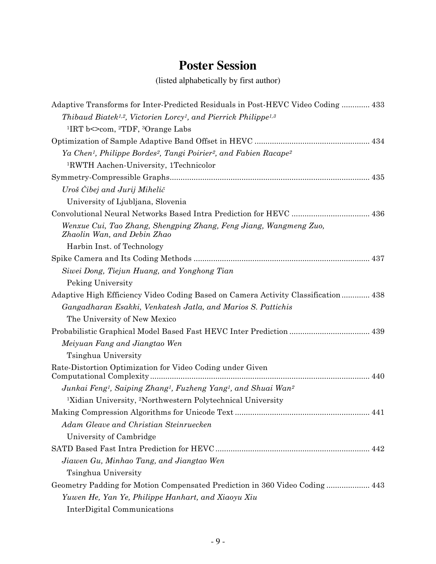# **Poster Session**

(listed alphabetically by first author)

| Adaptive Transforms for Inter-Predicted Residuals in Post-HEVC Video Coding 433                                   |
|-------------------------------------------------------------------------------------------------------------------|
| Thibaud Biatek <sup>1,2</sup> , Victorien Lorcy <sup>1</sup> , and Pierrick Philippe <sup>1,3</sup>               |
| <sup>1</sup> IRT b $\le$ com, <sup>2</sup> TDF, <sup>3</sup> Orange Labs                                          |
|                                                                                                                   |
| Ya Chen <sup>1</sup> , Philippe Bordes <sup>2</sup> , Tangi Poirier <sup>2</sup> , and Fabien Racape <sup>2</sup> |
| <sup>1</sup> RWTH Aachen-University, 1Technicolor                                                                 |
|                                                                                                                   |
| Uroš Čibej and Jurij Mihelič                                                                                      |
| University of Ljubljana, Slovenia                                                                                 |
|                                                                                                                   |
| Wenxue Cui, Tao Zhang, Shengping Zhang, Feng Jiang, Wangmeng Zuo,<br>Zhaolin Wan, and Debin Zhao                  |
| Harbin Inst. of Technology                                                                                        |
|                                                                                                                   |
| Siwei Dong, Tiejun Huang, and Yonghong Tian                                                                       |
| Peking University                                                                                                 |
| Adaptive High Efficiency Video Coding Based on Camera Activity Classification 438                                 |
| Gangadharan Esakki, Venkatesh Jatla, and Marios S. Pattichis                                                      |
| The University of New Mexico                                                                                      |
|                                                                                                                   |
| Meiyuan Fang and Jiangtao Wen                                                                                     |
| Tsinghua University                                                                                               |
| Rate-Distortion Optimization for Video Coding under Given                                                         |
|                                                                                                                   |
| Junkai Feng <sup>1</sup> , Saiping Zhang <sup>1</sup> , Fuzheng Yang <sup>1</sup> , and Shuai Wan <sup>2</sup>    |
| <sup>1</sup> Xidian University, <sup>2</sup> Northwestern Polytechnical University                                |
|                                                                                                                   |
| Adam Gleave and Christian Steinruecken                                                                            |
| University of Cambridge                                                                                           |
|                                                                                                                   |
| Jiawen Gu, Minhao Tang, and Jiangtao Wen                                                                          |
| Tsinghua University                                                                                               |
| Geometry Padding for Motion Compensated Prediction in 360 Video Coding 443                                        |
| Yuwen He, Yan Ye, Philippe Hanhart, and Xiaoyu Xiu                                                                |
| InterDigital Communications                                                                                       |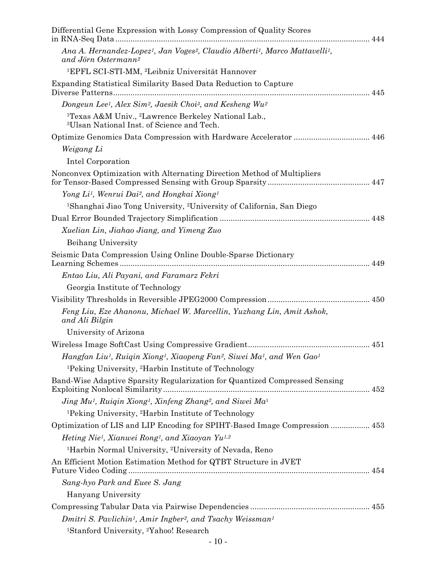| Differential Gene Expression with Lossy Compression of Quality Scores                                                                 |
|---------------------------------------------------------------------------------------------------------------------------------------|
| Ana A. Hernandez-Lopez <sup>1</sup> , Jan Voges <sup>2</sup> , Claudio Alberti <sup>1</sup> , Marco Mattavelli <sup>1</sup> ,         |
| and Jörn Ostermann <sup>2</sup>                                                                                                       |
| <sup>1</sup> EPFL SCI-STI-MM, <sup>2</sup> Leibniz Universität Hannover                                                               |
| Expanding Statistical Similarity Based Data Reduction to Capture                                                                      |
| Dongeun Lee <sup>1</sup> , Alex Sim <sup>2</sup> , Jaesik Choi <sup>3</sup> , and Kesheng Wu <sup>2</sup>                             |
| <sup>1</sup> Texas A&M Univ., <sup>2</sup> Lawrence Berkeley National Lab.,<br><sup>3</sup> Ulsan National Inst. of Science and Tech. |
| Optimize Genomics Data Compression with Hardware Accelerator  446                                                                     |
| Weigang Li                                                                                                                            |
| Intel Corporation                                                                                                                     |
| Nonconvex Optimization with Alternating Direction Method of Multipliers                                                               |
| Yong Li <sup>1</sup> , Wenrui Dai <sup>2</sup> , and Hongkai Xiong <sup>1</sup>                                                       |
| <sup>1</sup> Shanghai Jiao Tong University, <sup>2</sup> University of California, San Diego                                          |
|                                                                                                                                       |
| Xuelian Lin, Jiahao Jiang, and Yimeng Zuo                                                                                             |
| Beihang University                                                                                                                    |
| Seismic Data Compression Using Online Double-Sparse Dictionary                                                                        |
| Entao Liu, Ali Payani, and Faramarz Fekri                                                                                             |
| Georgia Institute of Technology                                                                                                       |
|                                                                                                                                       |
| Feng Liu, Eze Ahanonu, Michael W. Marcellin, Yuzhang Lin, Amit Ashok,<br>and Ali Bilgin                                               |
| University of Arizona                                                                                                                 |
|                                                                                                                                       |
| Hangfan Liu <sup>1</sup> , Ruigin Xiong <sup>1</sup> , Xiaopeng Fan <sup>2</sup> , Siwei Ma <sup>1</sup> , and Wen Gao <sup>1</sup>   |
| <sup>1</sup> Peking University, <sup>2</sup> Harbin Institute of Technology                                                           |
| Band-Wise Adaptive Sparsity Regularization for Quantized Compressed Sensing                                                           |
| Jing Mu <sup>1</sup> , Ruiqin Xiong <sup>1</sup> , Xinfeng Zhang <sup>2</sup> , and Siwei Ma <sup>1</sup>                             |
| <sup>1</sup> Peking University, <sup>2</sup> Harbin Institute of Technology                                                           |
| Optimization of LIS and LIP Encoding for SPIHT-Based Image Compression  453                                                           |
| Heting Nie <sup>1</sup> , Xianwei Rong <sup>1</sup> , and Xiaoyan Yu <sup>1,2</sup>                                                   |
| <sup>1</sup> Harbin Normal University, <sup>2</sup> University of Nevada, Reno                                                        |
| An Efficient Motion Estimation Method for QTBT Structure in JVET                                                                      |
| Sang-hyo Park and Euee S. Jang                                                                                                        |
| Hanyang University                                                                                                                    |
|                                                                                                                                       |
| Dmitri S. Pavlichin <sup>1</sup> , Amir Ingber <sup>2</sup> , and Tsachy Weissman <sup>1</sup>                                        |
| <sup>1</sup> Stanford University, <sup>2</sup> Yahoo! Research                                                                        |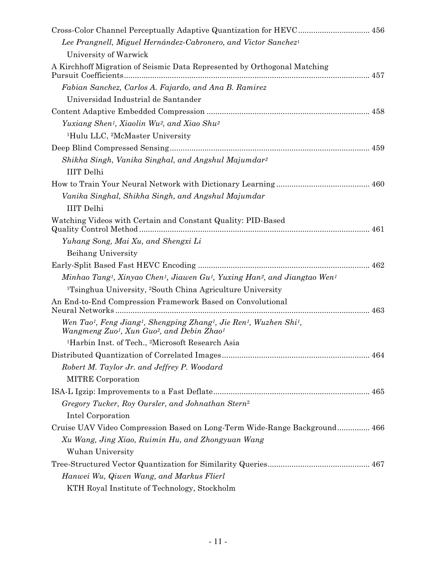| Cross-Color Channel Perceptually Adaptive Quantization for HEVC 456                                                                                                                                                |  |
|--------------------------------------------------------------------------------------------------------------------------------------------------------------------------------------------------------------------|--|
| Lee Prangnell, Miguel Hernández-Cabronero, and Victor Sanchez <sup>1</sup>                                                                                                                                         |  |
| University of Warwick                                                                                                                                                                                              |  |
| A Kirchhoff Migration of Seismic Data Represented by Orthogonal Matching                                                                                                                                           |  |
| Fabian Sanchez, Carlos A. Fajardo, and Ana B. Ramirez                                                                                                                                                              |  |
| Universidad Industrial de Santander                                                                                                                                                                                |  |
|                                                                                                                                                                                                                    |  |
| Yuxiang Shen <sup>1</sup> , Xiaolin Wu <sup>2</sup> , and Xiao Shu <sup>2</sup>                                                                                                                                    |  |
| <sup>1</sup> Hulu LLC, <sup>2</sup> McMaster University                                                                                                                                                            |  |
|                                                                                                                                                                                                                    |  |
| Shikha Singh, Vanika Singhal, and Angshul Majumdar <sup>2</sup><br><b>IIIT</b> Delhi                                                                                                                               |  |
|                                                                                                                                                                                                                    |  |
| Vanika Singhal, Shikha Singh, and Angshul Majumdar<br><b>IIIT</b> Delhi                                                                                                                                            |  |
| Watching Videos with Certain and Constant Quality: PID-Based                                                                                                                                                       |  |
| Yuhang Song, Mai Xu, and Shengxi Li                                                                                                                                                                                |  |
| Beihang University                                                                                                                                                                                                 |  |
|                                                                                                                                                                                                                    |  |
| Minhao Tang <sup>1</sup> , Xinyao Chen <sup>1</sup> , Jiawen Gu <sup>1</sup> , Yuxing Han <sup>2</sup> , and Jiangtao Wen <sup>1</sup>                                                                             |  |
| <sup>1</sup> Tsinghua University, <sup>2</sup> South China Agriculture University                                                                                                                                  |  |
| An End-to-End Compression Framework Based on Convolutional                                                                                                                                                         |  |
| Wen Tao <sup>1</sup> , Feng Jiang <sup>1</sup> , Shengping Zhang <sup>1</sup> , Jie Ren <sup>1</sup> , Wuzhen Shi <sup>1</sup> ,<br>Wangmeng Zuo <sup>1</sup> , Xun Guo <sup>2</sup> , and Debin Zhao <sup>1</sup> |  |
| <sup>1</sup> Harbin Inst. of Tech., <sup>2</sup> Microsoft Research Asia                                                                                                                                           |  |
|                                                                                                                                                                                                                    |  |
| Robert M. Taylor Jr. and Jeffrey P. Woodard                                                                                                                                                                        |  |
| <b>MITRE</b> Corporation                                                                                                                                                                                           |  |
|                                                                                                                                                                                                                    |  |
| Gregory Tucker, Roy Oursler, and Johnathan Stern <sup>2</sup>                                                                                                                                                      |  |
| Intel Corporation                                                                                                                                                                                                  |  |
| Cruise UAV Video Compression Based on Long-Term Wide-Range Background 466                                                                                                                                          |  |
| Xu Wang, Jing Xiao, Ruimin Hu, and Zhongyuan Wang<br>Wuhan University                                                                                                                                              |  |
|                                                                                                                                                                                                                    |  |
| Hanwei Wu, Qiwen Wang, and Markus Flierl                                                                                                                                                                           |  |
| KTH Royal Institute of Technology, Stockholm                                                                                                                                                                       |  |